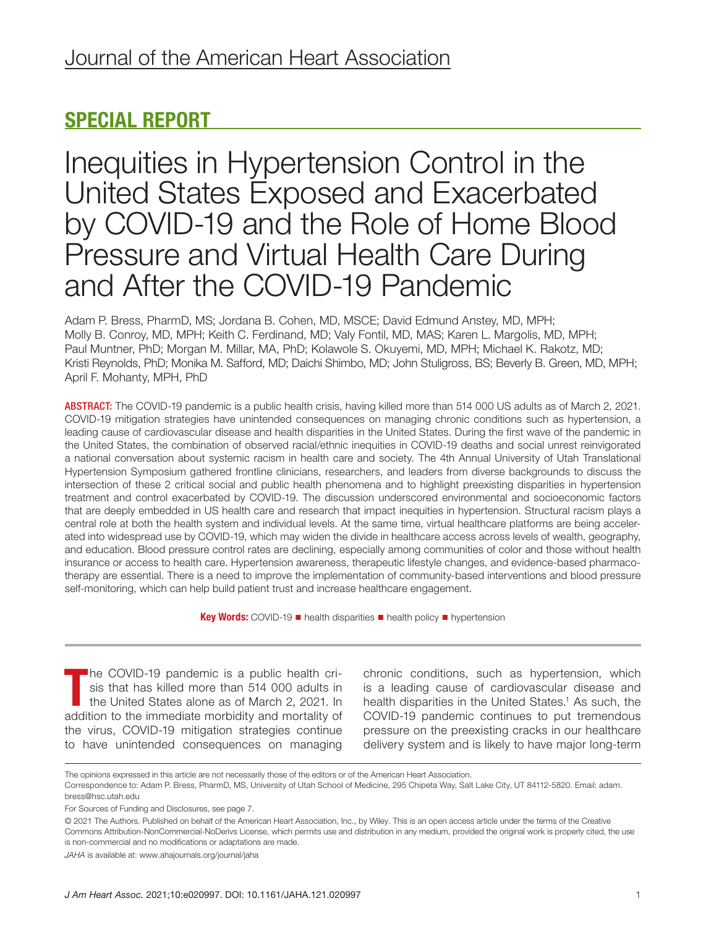# SPECIAL REPORT

Inequities in Hypertension Control in the United States Exposed and Exacerbated by COVID-19 and the Role of Home Blood Pressure and Virtual Health Care During and After the COVID-19 Pandemic

Adam P. Bress, PharmD, MS; Jordana B. Cohen, MD, MSCE; David Edmund Anstey, MD, MPH; Molly B. Conroy, MD, MPH; Keith C. Ferdinand, MD; Valy Fontil, MD, MAS; Karen L. Margolis, MD, MPH; Paul Muntner, PhD; Morgan M. Millar, MA, PhD; Kolawole S. Okuyemi, MD, MPH; Michael K. Rakotz, MD; Kristi Reynolds, PhD; Monika M. Safford, MD; Daichi Shimbo, MD; John Stuligross, BS; Beverly B. Green, MD, MPH; April F. Mohanty, MPH, PhD

ABSTRACT: The COVID-19 pandemic is a public health crisis, having killed more than 514 000 US adults as of March 2, 2021. COVID-19 mitigation strategies have unintended consequences on managing chronic conditions such as hypertension, a leading cause of cardiovascular disease and health disparities in the United States. During the first wave of the pandemic in the United States, the combination of observed racial/ethnic inequities in COVID-19 deaths and social unrest reinvigorated a national conversation about systemic racism in health care and society. The 4th Annual University of Utah Translational Hypertension Symposium gathered frontline clinicians, researchers, and leaders from diverse backgrounds to discuss the intersection of these 2 critical social and public health phenomena and to highlight preexisting disparities in hypertension treatment and control exacerbated by COVID-19. The discussion underscored environmental and socioeconomic factors that are deeply embedded in US health care and research that impact inequities in hypertension. Structural racism plays a central role at both the health system and individual levels. At the same time, virtual healthcare platforms are being accelerated into widespread use by COVID-19, which may widen the divide in healthcare access across levels of wealth, geography, and education. Blood pressure control rates are declining, especially among communities of color and those without health insurance or access to health care. Hypertension awareness, therapeutic lifestyle changes, and evidence-based pharmacotherapy are essential. There is a need to improve the implementation of community-based interventions and blood pressure self-monitoring, which can help build patient trust and increase healthcare engagement.

Key Words: COVID-19 ■ health disparities ■ health policy ■ hypertension

The COVID-19 pandemic is a public health crisis that has killed more than 514 000 adults in the United States alone as of March 2, 2021. In addition to the immediate morbidity and mortality of he COVID-19 pandemic is a public health crisis that has killed more than 514 000 adults in the United States alone as of March 2, 2021. In the virus, COVID-19 mitigation strategies continue to have unintended consequences on managing

chronic conditions, such as hypertension, which is a leading cause of cardiovascular disease and health disparities in the United States.<sup>1</sup> As such, the COVID-19 pandemic continues to put tremendous pressure on the preexisting cracks in our healthcare delivery system and is likely to have major long-term

The opinions expressed in this article are not necessarily those of the editors or of the American Heart Association.

Correspondence to: Adam P. Bress, PharmD, MS, University of Utah School of Medicine, 295 Chipeta Way, Salt Lake City, UT 84112-5820. Email: [adam.](mailto:adam.bress@hsc.utah.edu)

[bress@hsc.utah.edu](mailto:adam.bress@hsc.utah.edu)

For Sources of Funding and Disclosures, see page 7.

<sup>© 2021</sup> The Authors. Published on behalf of the American Heart Association, Inc., by Wiley. This is an open access article under the terms of the [Creative](http://creativecommons.org/licenses/by-nc-nd/4.0/)  [Commons Attribution-NonCommercial-NoDerivs](http://creativecommons.org/licenses/by-nc-nd/4.0/) License, which permits use and distribution in any medium, provided the original work is properly cited, the use is non-commercial and no modifications or adaptations are made.

*JAHA* is available at: [www.ahajournals.org/journal/jaha](https://www.ahajournals.org/journal/jaha)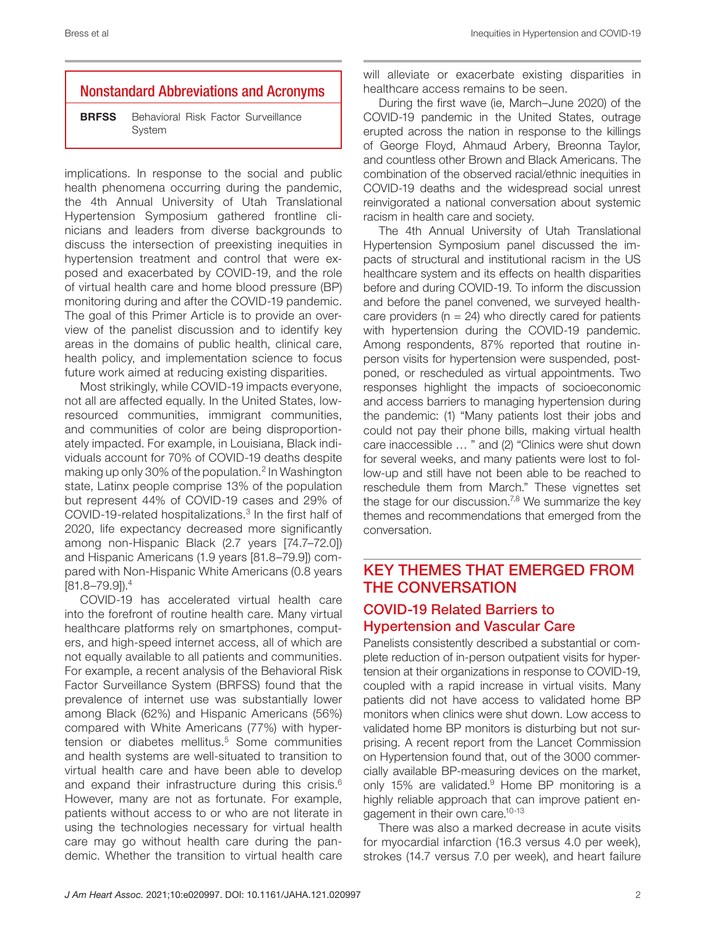## Nonstandard Abbreviations and Acronyms

**BRFSS** Behavioral Risk Factor Surveillance System

implications. In response to the social and public health phenomena occurring during the pandemic, the 4th Annual University of Utah Translational Hypertension Symposium gathered frontline clinicians and leaders from diverse backgrounds to discuss the intersection of preexisting inequities in hypertension treatment and control that were exposed and exacerbated by COVID-19, and the role of virtual health care and home blood pressure (BP) monitoring during and after the COVID-19 pandemic. The goal of this Primer Article is to provide an overview of the panelist discussion and to identify key areas in the domains of public health, clinical care, health policy, and implementation science to focus future work aimed at reducing existing disparities.

Most strikingly, while COVID-19 impacts everyone, not all are affected equally. In the United States, lowresourced communities, immigrant communities, and communities of color are being disproportionately impacted. For example, in Louisiana, Black individuals account for 70% of COVID-19 deaths despite making up only 30% of the population.2 In Washington state, Latinx people comprise 13% of the population but represent 44% of COVID-19 cases and 29% of COVID-19-related hospitalizations.3 In the first half of 2020, life expectancy decreased more significantly among non-Hispanic Black (2.7 years [74.7–72.0]) and Hispanic Americans (1.9 years [81.8–79.9]) compared with Non-Hispanic White Americans (0.8 years [81.8–79.9]).4

COVID-19 has accelerated virtual health care into the forefront of routine health care. Many virtual healthcare platforms rely on smartphones, computers, and high-speed internet access, all of which are not equally available to all patients and communities. For example, a recent analysis of the Behavioral Risk Factor Surveillance System (BRFSS) found that the prevalence of internet use was substantially lower among Black (62%) and Hispanic Americans (56%) compared with White Americans (77%) with hypertension or diabetes mellitus.<sup>5</sup> Some communities and health systems are well-situated to transition to virtual health care and have been able to develop and expand their infrastructure during this crisis.<sup>6</sup> However, many are not as fortunate. For example, patients without access to or who are not literate in using the technologies necessary for virtual health care may go without health care during the pandemic. Whether the transition to virtual health care

will alleviate or exacerbate existing disparities in healthcare access remains to be seen.

During the first wave (ie, March–June 2020) of the COVID-19 pandemic in the United States, outrage erupted across the nation in response to the killings of George Floyd, Ahmaud Arbery, Breonna Taylor, and countless other Brown and Black Americans. The combination of the observed racial/ethnic inequities in COVID-19 deaths and the widespread social unrest reinvigorated a national conversation about systemic racism in health care and society.

The 4th Annual University of Utah Translational Hypertension Symposium panel discussed the impacts of structural and institutional racism in the US healthcare system and its effects on health disparities before and during COVID-19. To inform the discussion and before the panel convened, we surveyed healthcare providers ( $n = 24$ ) who directly cared for patients with hypertension during the COVID-19 pandemic. Among respondents, 87% reported that routine inperson visits for hypertension were suspended, postponed, or rescheduled as virtual appointments. Two responses highlight the impacts of socioeconomic and access barriers to managing hypertension during the pandemic: (1) "Many patients lost their jobs and could not pay their phone bills, making virtual health care inaccessible … " and (2) "Clinics were shut down for several weeks, and many patients were lost to follow-up and still have not been able to be reached to reschedule them from March." These vignettes set the stage for our discussion.<sup>7,8</sup> We summarize the key themes and recommendations that emerged from the conversation.

## KEY THEMES THAT EMERGED FROM THE CONVERSATION

## COVID-19 Related Barriers to Hypertension and Vascular Care

Panelists consistently described a substantial or complete reduction of in-person outpatient visits for hypertension at their organizations in response to COVID-19, coupled with a rapid increase in virtual visits. Many patients did not have access to validated home BP monitors when clinics were shut down. Low access to validated home BP monitors is disturbing but not surprising. A recent report from the Lancet Commission on Hypertension found that, out of the 3000 commercially available BP-measuring devices on the market, only 15% are validated.<sup>9</sup> Home BP monitoring is a highly reliable approach that can improve patient engagement in their own care.<sup>10-13</sup>

There was also a marked decrease in acute visits for myocardial infarction (16.3 versus 4.0 per week), strokes (14.7 versus 7.0 per week), and heart failure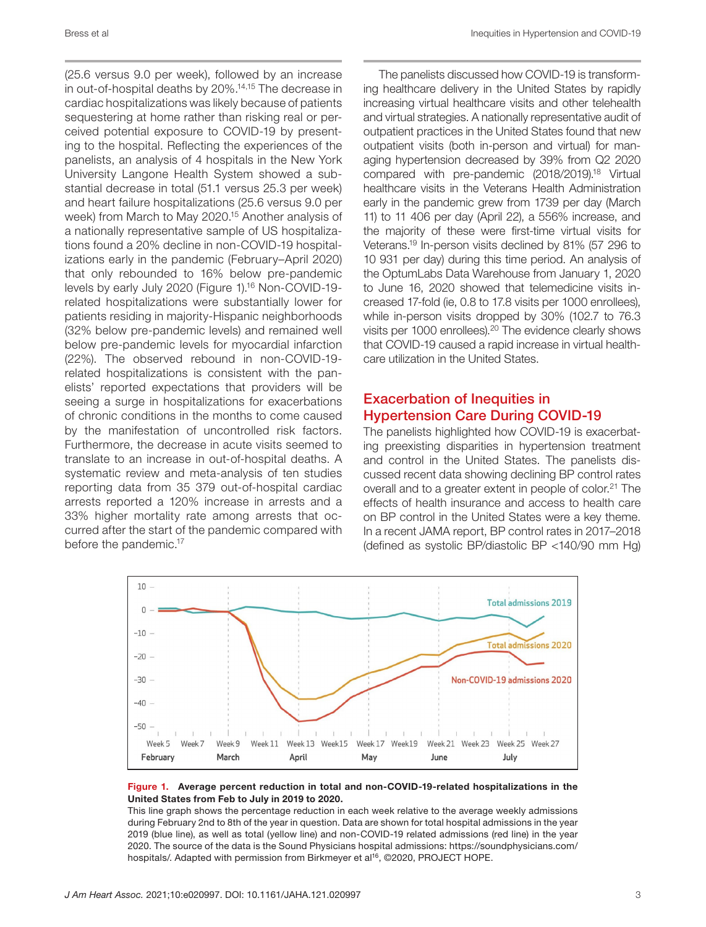(25.6 versus 9.0 per week), followed by an increase in out-of-hospital deaths by 20%.14,15 The decrease in cardiac hospitalizations was likely because of patients sequestering at home rather than risking real or perceived potential exposure to COVID-19 by presenting to the hospital. Reflecting the experiences of the panelists, an analysis of 4 hospitals in the New York University Langone Health System showed a substantial decrease in total (51.1 versus 25.3 per week) and heart failure hospitalizations (25.6 versus 9.0 per week) from March to May 2020.15 Another analysis of a nationally representative sample of US hospitalizations found a 20% decline in non-COVID-19 hospitalizations early in the pandemic (February–April 2020) that only rebounded to 16% below pre-pandemic levels by early July 2020 (Figure 1).16 Non-COVID-19 related hospitalizations were substantially lower for patients residing in majority-Hispanic neighborhoods (32% below pre-pandemic levels) and remained well below pre-pandemic levels for myocardial infarction (22%). The observed rebound in non-COVID-19 related hospitalizations is consistent with the panelists' reported expectations that providers will be seeing a surge in hospitalizations for exacerbations of chronic conditions in the months to come caused by the manifestation of uncontrolled risk factors. Furthermore, the decrease in acute visits seemed to translate to an increase in out-of-hospital deaths. A systematic review and meta-analysis of ten studies reporting data from 35 379 out-of-hospital cardiac arrests reported a 120% increase in arrests and a 33% higher mortality rate among arrests that occurred after the start of the pandemic compared with before the pandemic.<sup>17</sup>

The panelists discussed how COVID-19 is transforming healthcare delivery in the United States by rapidly increasing virtual healthcare visits and other telehealth and virtual strategies. A nationally representative audit of outpatient practices in the United States found that new outpatient visits (both in-person and virtual) for managing hypertension decreased by 39% from Q2 2020 compared with pre-pandemic (2018/2019).18 Virtual healthcare visits in the Veterans Health Administration early in the pandemic grew from 1739 per day (March 11) to 11 406 per day (April 22), a 556% increase, and the majority of these were first-time virtual visits for Veterans.19 In-person visits declined by 81% (57 296 to 10 931 per day) during this time period. An analysis of the OptumLabs Data Warehouse from January 1, 2020 to June 16, 2020 showed that telemedicine visits increased 17-fold (ie, 0.8 to 17.8 visits per 1000 enrollees), while in-person visits dropped by 30% (102.7 to 76.3 visits per 1000 enrollees).20 The evidence clearly shows that COVID-19 caused a rapid increase in virtual healthcare utilization in the United States.

## Exacerbation of Inequities in Hypertension Care During COVID-19

The panelists highlighted how COVID-19 is exacerbating preexisting disparities in hypertension treatment and control in the United States. The panelists discussed recent data showing declining BP control rates overall and to a greater extent in people of color.<sup>21</sup> The effects of health insurance and access to health care on BP control in the United States were a key theme. In a recent JAMA report, BP control rates in 2017–2018 (defined as systolic BP/diastolic BP <140/90 mm Hg)



### Figure 1. Average percent reduction in total and non-COVID-19-related hospitalizations in the United States from Feb to July in 2019 to 2020.

This line graph shows the percentage reduction in each week relative to the average weekly admissions during February 2nd to 8th of the year in question. Data are shown for total hospital admissions in the year 2019 (blue line), as well as total (yellow line) and non-COVID-19 related admissions (red line) in the year 2020. The source of the data is the Sound Physicians hospital admissions: [https://soundphysicians.com/](https://soundphysicians.com/hospitals/) [hospitals/.](https://soundphysicians.com/hospitals/) Adapted with permission from Birkmeyer et al<sup>16</sup>, ©2020, PROJECT HOPE.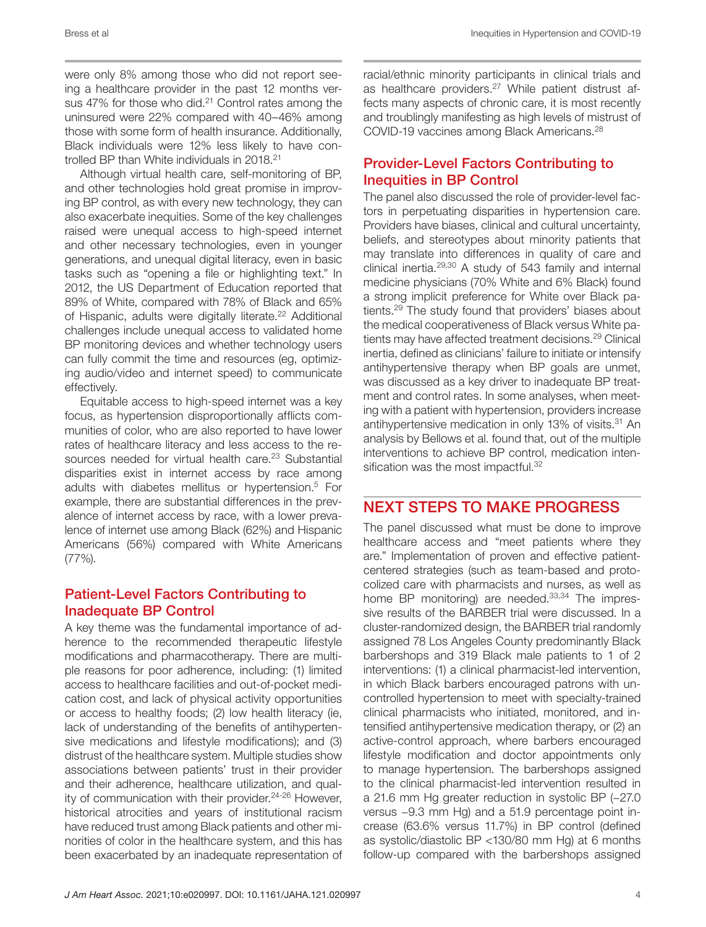Bress et al **Inequities in Hypertension and COVID-19** Inequities in Hypertension and COVID-19

were only 8% among those who did not report seeing a healthcare provider in the past 12 months versus 47% for those who did.<sup>21</sup> Control rates among the uninsured were 22% compared with 40–46% among those with some form of health insurance. Additionally, Black individuals were 12% less likely to have controlled BP than White individuals in 2018.21

Although virtual health care, self-monitoring of BP, and other technologies hold great promise in improving BP control, as with every new technology, they can also exacerbate inequities. Some of the key challenges raised were unequal access to high-speed internet and other necessary technologies, even in younger generations, and unequal digital literacy, even in basic tasks such as "opening a file or highlighting text." In 2012, the US Department of Education reported that 89% of White, compared with 78% of Black and 65% of Hispanic, adults were digitally literate.<sup>22</sup> Additional challenges include unequal access to validated home BP monitoring devices and whether technology users can fully commit the time and resources (eg, optimizing audio/video and internet speed) to communicate effectively.

Equitable access to high-speed internet was a key focus, as hypertension disproportionally afflicts communities of color, who are also reported to have lower rates of healthcare literacy and less access to the resources needed for virtual health care.<sup>23</sup> Substantial disparities exist in internet access by race among adults with diabetes mellitus or hypertension.<sup>5</sup> For example, there are substantial differences in the prevalence of internet access by race, with a lower prevalence of internet use among Black (62%) and Hispanic Americans (56%) compared with White Americans (77%).

### Patient-Level Factors Contributing to Inadequate BP Control

A key theme was the fundamental importance of adherence to the recommended therapeutic lifestyle modifications and pharmacotherapy. There are multiple reasons for poor adherence, including: (1) limited access to healthcare facilities and out-of-pocket medication cost, and lack of physical activity opportunities or access to healthy foods; (2) low health literacy (ie, lack of understanding of the benefits of antihypertensive medications and lifestyle modifications); and (3) distrust of the healthcare system. Multiple studies show associations between patients' trust in their provider and their adherence, healthcare utilization, and quality of communication with their provider.<sup>24-26</sup> However, historical atrocities and years of institutional racism have reduced trust among Black patients and other minorities of color in the healthcare system, and this has been exacerbated by an inadequate representation of racial/ethnic minority participants in clinical trials and as healthcare providers.<sup>27</sup> While patient distrust affects many aspects of chronic care, it is most recently and troublingly manifesting as high levels of mistrust of COVID-19 vaccines among Black Americans.28

## Provider-Level Factors Contributing to Inequities in BP Control

The panel also discussed the role of provider-level factors in perpetuating disparities in hypertension care. Providers have biases, clinical and cultural uncertainty, beliefs, and stereotypes about minority patients that may translate into differences in quality of care and clinical inertia.29,30 A study of 543 family and internal medicine physicians (70% White and 6% Black) found a strong implicit preference for White over Black patients.29 The study found that providers' biases about the medical cooperativeness of Black versus White patients may have affected treatment decisions.<sup>29</sup> Clinical inertia, defined as clinicians' failure to initiate or intensify antihypertensive therapy when BP goals are unmet, was discussed as a key driver to inadequate BP treatment and control rates. In some analyses, when meeting with a patient with hypertension, providers increase antihypertensive medication in only 13% of visits.<sup>31</sup> An analysis by Bellows et al. found that, out of the multiple interventions to achieve BP control, medication intensification was the most impactful.<sup>32</sup>

## NEXT STEPS TO MAKE PROGRESS

The panel discussed what must be done to improve healthcare access and "meet patients where they are." Implementation of proven and effective patientcentered strategies (such as team-based and protocolized care with pharmacists and nurses, as well as home BP monitoring) are needed.<sup>33,34</sup> The impressive results of the BARBER trial were discussed. In a cluster-randomized design, the BARBER trial randomly assigned 78 Los Angeles County predominantly Black barbershops and 319 Black male patients to 1 of 2 interventions: (1) a clinical pharmacist-led intervention, in which Black barbers encouraged patrons with uncontrolled hypertension to meet with specialty-trained clinical pharmacists who initiated, monitored, and intensified antihypertensive medication therapy, or (2) an active-control approach, where barbers encouraged lifestyle modification and doctor appointments only to manage hypertension. The barbershops assigned to the clinical pharmacist-led intervention resulted in a 21.6 mm Hg greater reduction in systolic BP (−27.0 versus −9.3 mm Hg) and a 51.9 percentage point increase (63.6% versus 11.7%) in BP control (defined as systolic/diastolic BP <130/80 mm Hg) at 6 months follow-up compared with the barbershops assigned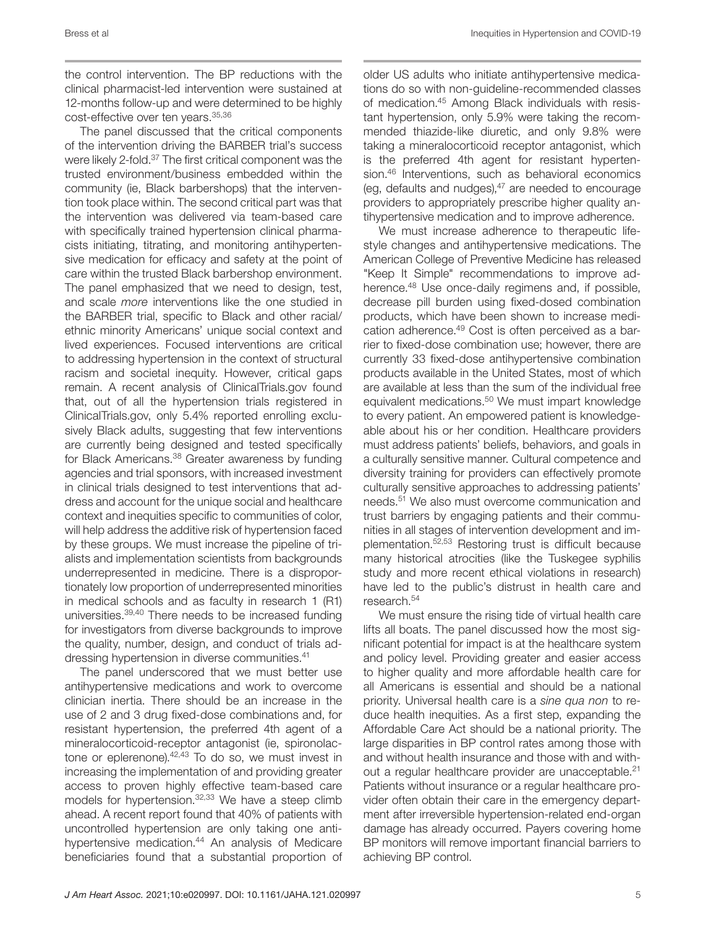Bress et al **Inequities in Hypertension and COVID-19** Inequities in Hypertension and COVID-19

the control intervention. The BP reductions with the clinical pharmacist-led intervention were sustained at 12-months follow-up and were determined to be highly cost-effective over ten years.35,36

The panel discussed that the critical components of the intervention driving the BARBER trial's success were likely 2-fold.<sup>37</sup> The first critical component was the trusted environment/business embedded within the community (ie, Black barbershops) that the intervention took place within. The second critical part was that the intervention was delivered via team-based care with specifically trained hypertension clinical pharmacists initiating, titrating, and monitoring antihypertensive medication for efficacy and safety at the point of care within the trusted Black barbershop environment. The panel emphasized that we need to design, test, and scale *more* interventions like the one studied in the BARBER trial, specific to Black and other racial/ ethnic minority Americans' unique social context and lived experiences. Focused interventions are critical to addressing hypertension in the context of structural racism and societal inequity. However, critical gaps remain. A recent analysis of ClinicalTrials.gov found that, out of all the hypertension trials registered in ClinicalTrials.gov, only 5.4% reported enrolling exclusively Black adults, suggesting that few interventions are currently being designed and tested specifically for Black Americans.38 Greater awareness by funding agencies and trial sponsors, with increased investment in clinical trials designed to test interventions that address and account for the unique social and healthcare context and inequities specific to communities of color, will help address the additive risk of hypertension faced by these groups. We must increase the pipeline of trialists and implementation scientists from backgrounds underrepresented in medicine. There is a disproportionately low proportion of underrepresented minorities in medical schools and as faculty in research 1 (R1) universities.39,40 There needs to be increased funding for investigators from diverse backgrounds to improve the quality, number, design, and conduct of trials addressing hypertension in diverse communities.41

The panel underscored that we must better use antihypertensive medications and work to overcome clinician inertia. There should be an increase in the use of 2 and 3 drug fixed-dose combinations and, for resistant hypertension, the preferred 4th agent of a mineralocorticoid-receptor antagonist (ie, spironolactone or eplerenone).42,43 To do so, we must invest in increasing the implementation of and providing greater access to proven highly effective team-based care models for hypertension.32,33 We have a steep climb ahead. A recent report found that 40% of patients with uncontrolled hypertension are only taking one antihypertensive medication.<sup>44</sup> An analysis of Medicare beneficiaries found that a substantial proportion of

older US adults who initiate antihypertensive medications do so with non-guideline-recommended classes of medication.45 Among Black individuals with resistant hypertension, only 5.9% were taking the recommended thiazide-like diuretic, and only 9.8% were taking a mineralocorticoid receptor antagonist, which is the preferred 4th agent for resistant hypertension.46 Interventions, such as behavioral economics (eg, defaults and nudges), $47$  are needed to encourage providers to appropriately prescribe higher quality antihypertensive medication and to improve adherence.

We must increase adherence to therapeutic lifestyle changes and antihypertensive medications. The American College of Preventive Medicine has released "Keep It Simple" recommendations to improve adherence.<sup>48</sup> Use once-daily regimens and, if possible, decrease pill burden using fixed-dosed combination products, which have been shown to increase medication adherence.<sup>49</sup> Cost is often perceived as a barrier to fixed-dose combination use; however, there are currently 33 fixed-dose antihypertensive combination products available in the United States, most of which are available at less than the sum of the individual free equivalent medications.<sup>50</sup> We must impart knowledge to every patient. An empowered patient is knowledgeable about his or her condition. Healthcare providers must address patients' beliefs, behaviors, and goals in a culturally sensitive manner. Cultural competence and diversity training for providers can effectively promote culturally sensitive approaches to addressing patients' needs.51 We also must overcome communication and trust barriers by engaging patients and their communities in all stages of intervention development and implementation.52,53 Restoring trust is difficult because many historical atrocities (like the Tuskegee syphilis study and more recent ethical violations in research) have led to the public's distrust in health care and research.54

We must ensure the rising tide of virtual health care lifts all boats. The panel discussed how the most significant potential for impact is at the healthcare system and policy level. Providing greater and easier access to higher quality and more affordable health care for all Americans is essential and should be a national priority. Universal health care is a *sine qua non* to reduce health inequities. As a first step, expanding the Affordable Care Act should be a national priority. The large disparities in BP control rates among those with and without health insurance and those with and without a regular healthcare provider are unacceptable.<sup>21</sup> Patients without insurance or a regular healthcare provider often obtain their care in the emergency department after irreversible hypertension-related end-organ damage has already occurred. Payers covering home BP monitors will remove important financial barriers to achieving BP control.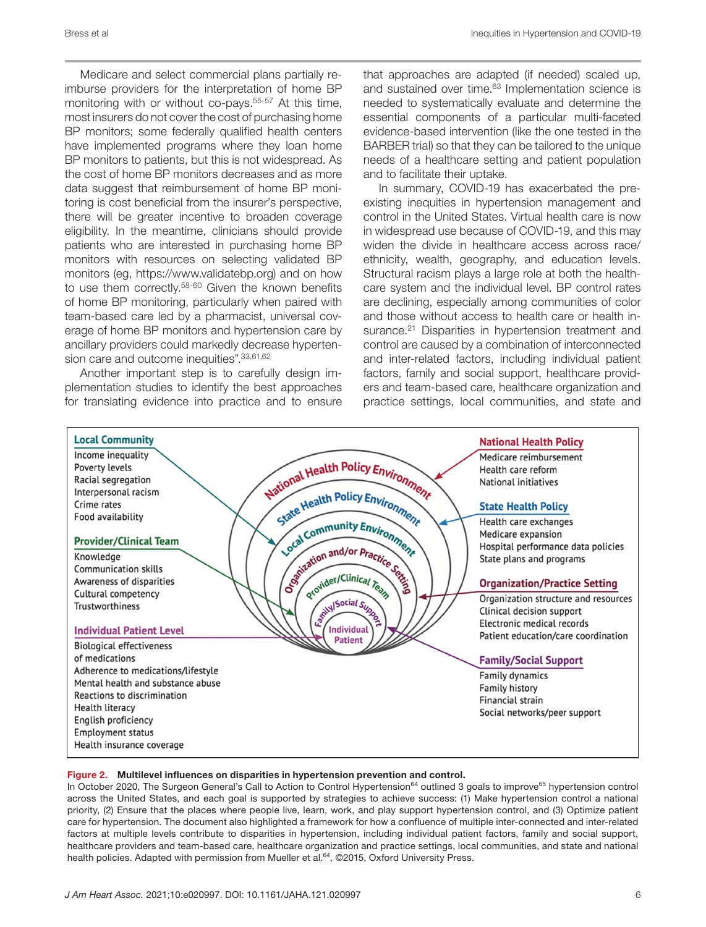Medicare and select commercial plans partially reimburse providers for the interpretation of home BP monitoring with or without co-pays.<sup>55-57</sup> At this time, most insurers do not cover the cost of purchasing home BP monitors; some federally qualified health centers have implemented programs where they loan home BP monitors to patients, but this is not widespread. As the cost of home BP monitors decreases and as more data suggest that reimbursement of home BP monitoring is cost beneficial from the insurer's perspective, there will be greater incentive to broaden coverage eligibility. In the meantime, clinicians should provide patients who are interested in purchasing home BP monitors with resources on selecting validated BP monitors (eg, <https://www.validatebp.org>) and on how to use them correctly.58-60 Given the known benefits of home BP monitoring, particularly when paired with team-based care led by a pharmacist, universal coverage of home BP monitors and hypertension care by ancillary providers could markedly decrease hypertension care and outcome inequities". 33,61,62

Another important step is to carefully design implementation studies to identify the best approaches for translating evidence into practice and to ensure that approaches are adapted (if needed) scaled up, and sustained over time.<sup>63</sup> Implementation science is needed to systematically evaluate and determine the essential components of a particular multi-faceted evidence-based intervention (like the one tested in the BARBER trial) so that they can be tailored to the unique needs of a healthcare setting and patient population and to facilitate their uptake.

In summary, COVID-19 has exacerbated the preexisting inequities in hypertension management and control in the United States. Virtual health care is now in widespread use because of COVID-19, and this may widen the divide in healthcare access across race/ ethnicity, wealth, geography, and education levels. Structural racism plays a large role at both the healthcare system and the individual level. BP control rates are declining, especially among communities of color and those without access to health care or health insurance.<sup>21</sup> Disparities in hypertension treatment and control are caused by a combination of interconnected and inter-related factors, including individual patient factors, family and social support, healthcare providers and team-based care, healthcare organization and practice settings, local communities, and state and



### Figure 2. Multilevel influences on disparities in hypertension prevention and control.

In October 2020, The Surgeon General's Call to Action to Control Hypertension<sup>64</sup> outlined 3 goals to improve<sup>65</sup> hypertension control across the United States, and each goal is supported by strategies to achieve success: (1) Make hypertension control a national priority, (2) Ensure that the places where people live, learn, work, and play support hypertension control, and (3) Optimize patient care for hypertension. The document also highlighted a framework for how a confluence of multiple inter-connected and inter-related factors at multiple levels contribute to disparities in hypertension, including individual patient factors, family and social support, healthcare providers and team-based care, healthcare organization and practice settings, local communities, and state and national health policies. Adapted with permission from Mueller et al.<sup>64</sup>, ©2015, Oxford University Press.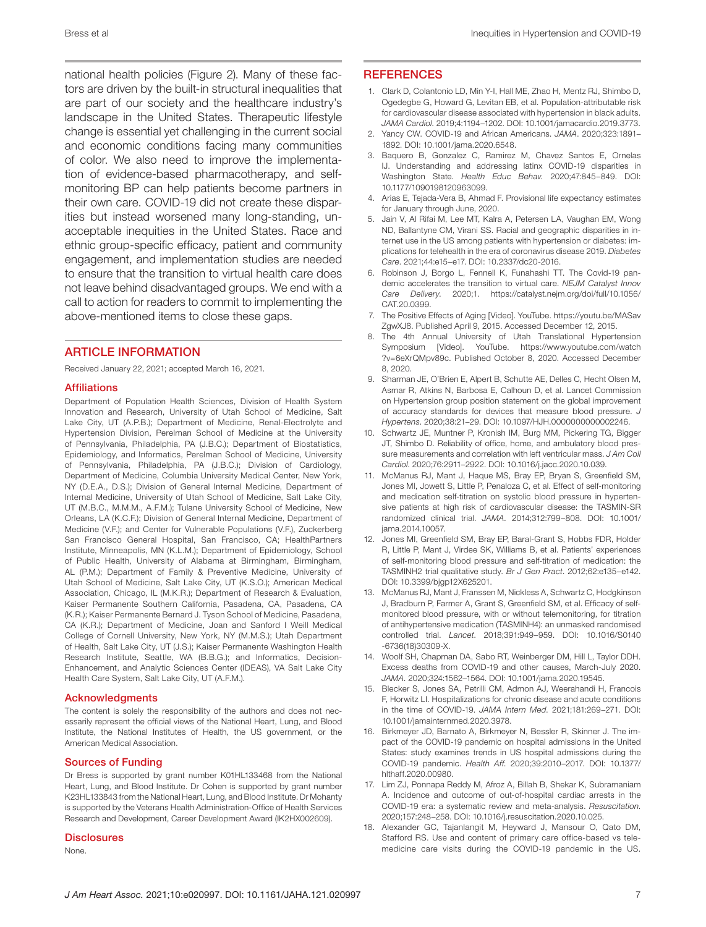Bress et al **Inequities in Hypertension and COVID-19** Inequities in Hypertension and COVID-19

national health policies (Figure 2). Many of these factors are driven by the built-in structural inequalities that are part of our society and the healthcare industry's landscape in the United States. Therapeutic lifestyle change is essential yet challenging in the current social and economic conditions facing many communities of color. We also need to improve the implementation of evidence-based pharmacotherapy, and selfmonitoring BP can help patients become partners in their own care. COVID-19 did not create these disparities but instead worsened many long-standing, unacceptable inequities in the United States. Race and ethnic group-specific efficacy, patient and community engagement, and implementation studies are needed to ensure that the transition to virtual health care does not leave behind disadvantaged groups. We end with a call to action for readers to commit to implementing the above-mentioned items to close these gaps.

### ARTICLE INFORMATION

Received January 22, 2021; accepted March 16, 2021.

### Affiliations

Department of Population Health Sciences, Division of Health System Innovation and Research, University of Utah School of Medicine, Salt Lake City, UT (A.P.B.); Department of Medicine, Renal-Electrolyte and Hypertension Division, Perelman School of Medicine at the University of Pennsylvania, Philadelphia, PA (J.B.C.); Department of Biostatistics, Epidemiology, and Informatics, Perelman School of Medicine, University of Pennsylvania, Philadelphia, PA (J.B.C.); Division of Cardiology, Department of Medicine, Columbia University Medical Center, New York, NY (D.E.A., D.S.); Division of General Internal Medicine, Department of Internal Medicine, University of Utah School of Medicine, Salt Lake City, UT (M.B.C., M.M.M., A.F.M.); Tulane University School of Medicine, New Orleans, LA (K.C.F.); Division of General Internal Medicine, Department of Medicine (V.F.); and Center for Vulnerable Populations (V.F.), Zuckerberg San Francisco General Hospital, San Francisco, CA; HealthPartners Institute, Minneapolis, MN (K.L.M.); Department of Epidemiology, School of Public Health, University of Alabama at Birmingham, Birmingham, AL (P.M.); Department of Family & Preventive Medicine, University of Utah School of Medicine, Salt Lake City, UT (K.S.O.); American Medical Association, Chicago, IL (M.K.R.); Department of Research & Evaluation, Kaiser Permanente Southern California, Pasadena, CA, Pasadena, CA (K.R.); Kaiser Permanente Bernard J. Tyson School of Medicine, Pasadena, CA (K.R.); Department of Medicine, Joan and Sanford I Weill Medical College of Cornell University, New York, NY (M.M.S.); Utah Department of Health, Salt Lake City, UT (J.S.); Kaiser Permanente Washington Health Research Institute, Seattle, WA (B.B.G.); and Informatics, Decision-Enhancement, and Analytic Sciences Center (IDEAS), VA Salt Lake City Health Care System, Salt Lake City, UT (A.F.M.).

### Acknowledgments

The content is solely the responsibility of the authors and does not necessarily represent the official views of the National Heart, Lung, and Blood Institute, the National Institutes of Health, the US government, or the American Medical Association.

### Sources of Funding

Dr Bress is supported by grant number K01HL133468 from the National Heart, Lung, and Blood Institute. Dr Cohen is supported by grant number K23HL133843 from the National Heart, Lung, and Blood Institute. Dr Mohanty is supported by the Veterans Health Administration-Office of Health Services Research and Development, Career Development Award (IK2HX002609).

### **Disclosures**

None.

### **REFERENCES**

- 1. Clark D, Colantonio LD, Min Y-I, Hall ME, Zhao H, Mentz RJ, Shimbo D, Ogedegbe G, Howard G, Levitan EB, et al. Population-attributable risk for cardiovascular disease associated with hypertension in black adults. *JAMA Cardiol*. 2019;4:1194–1202. DOI: [10.1001/jamacardio.2019.3773](https://doi.org/10.1001/jamacardio.2019.3773).
- 2. Yancy CW. COVID-19 and African Americans. *JAMA*. 2020;323:1891– 1892. DOI: [10.1001/jama.2020.6548.](https://doi.org/10.1001/jama.2020.6548)
- 3. Baquero B, Gonzalez C, Ramirez M, Chavez Santos E, Ornelas IJ. Understanding and addressing latinx COVID-19 disparities in Washington State. *Health Educ Behav*. 2020;47:845–849. DOI: [10.1177/1090198120963099.](https://doi.org/10.1177/1090198120963099)
- 4. Arias E, Tejada-Vera B, Ahmad F. Provisional life expectancy estimates for January through June, 2020.
- 5. Jain V, Al Rifai M, Lee MT, Kalra A, Petersen LA, Vaughan EM, Wong ND, Ballantyne CM, Virani SS. Racial and geographic disparities in internet use in the US among patients with hypertension or diabetes: implications for telehealth in the era of coronavirus disease 2019. *Diabetes Care*. 2021;44:e15–e17. DOI: [10.2337/dc20-2016](https://doi.org/10.2337/dc20-2016).
- 6. Robinson J, Borgo L, Fennell K, Funahashi TT. The Covid-19 pandemic accelerates the transition to virtual care. *NEJM Catalyst Innov Care Delivery*. 2020;1. [https://catalyst.nejm.org/doi/full/10.1056/](https://catalyst.nejm.org/doi/full/10.1056/CAT.20.0399) [CAT.20.0399](https://catalyst.nejm.org/doi/full/10.1056/CAT.20.0399).
- 7. The Positive Effects of Aging [Video]. YouTube. [https://youtu.be/MASav](https://youtu.be/MASavZgwXJ8) [ZgwXJ8.](https://youtu.be/MASavZgwXJ8) Published April 9, 2015. Accessed December 12, 2015.
- The 4th Annual University of Utah Translational Hypertension Symposium [Video]. YouTube. [https://www.youtube.com/watch](https://www.youtube.com/watch?v=6eXrQMpv89c) [?v=6eXrQMpv89c.](https://www.youtube.com/watch?v=6eXrQMpv89c) Published October 8, 2020. Accessed December 8, 2020.
- 9. Sharman JE, O'Brien E, Alpert B, Schutte AE, Delles C, Hecht Olsen M, Asmar R, Atkins N, Barbosa E, Calhoun D, et al. Lancet Commission on Hypertension group position statement on the global improvement of accuracy standards for devices that measure blood pressure. *J Hypertens*. 2020;38:21–29. DOI: [10.1097/HJH.0000000000002246.](https://doi.org/10.1097/HJH.0000000000002246)
- 10. Schwartz JE, Muntner P, Kronish IM, Burg MM, Pickering TG, Bigger JT, Shimbo D. Reliability of office, home, and ambulatory blood pressure measurements and correlation with left ventricular mass. *J Am Coll Cardiol*. 2020;76:2911–2922. DOI: [10.1016/j.jacc.2020.10.039](https://doi.org/10.1016/j.jacc.2020.10.039).
- 11. McManus RJ, Mant J, Haque MS, Bray EP, Bryan S, Greenfield SM, Jones MI, Jowett S, Little P, Penaloza C, et al. Effect of self-monitoring and medication self-titration on systolic blood pressure in hypertensive patients at high risk of cardiovascular disease: the TASMIN-SR randomized clinical trial. *JAMA*. 2014;312:799–808. DOI: [10.1001/](https://doi.org/10.1001/jama.2014.10057) [jama.2014.10057](https://doi.org/10.1001/jama.2014.10057).
- 12. Jones MI, Greenfield SM, Bray EP, Baral-Grant S, Hobbs FDR, Holder R, Little P, Mant J, Virdee SK, Williams B, et al. Patients' experiences of self-monitoring blood pressure and self-titration of medication: the TASMINH2 trial qualitative study. *Br J Gen Pract*. 2012;62:e135–e142. DOI: [10.3399/bjgp12X625201](https://doi.org/10.3399/bjgp12X625201).
- 13. McManus RJ, Mant J, Franssen M, Nickless A, Schwartz C, Hodgkinson J, Bradburn P, Farmer A, Grant S, Greenfield SM, et al. Efficacy of selfmonitored blood pressure, with or without telemonitoring, for titration of antihypertensive medication (TASMINH4): an unmasked randomised controlled trial. *Lancet*. 2018;391:949–959. DOI: [10.1016/S0140](https://doi.org/10.1016/S0140-6736(18)30309-X) [-6736\(18\)30309-X](https://doi.org/10.1016/S0140-6736(18)30309-X).
- 14. Woolf SH, Chapman DA, Sabo RT, Weinberger DM, Hill L, Taylor DDH. Excess deaths from COVID-19 and other causes, March-July 2020. *JAMA*. 2020;324:1562–1564. DOI: [10.1001/jama.2020.19545](https://doi.org/10.1001/jama.2020.19545).
- 15. Blecker S, Jones SA, Petrilli CM, Admon AJ, Weerahandi H, Francois F, Horwitz LI. Hospitalizations for chronic disease and acute conditions in the time of COVID-19. *JAMA Intern Med*. 2021;181:269–271. DOI: [10.1001/jamainternmed.2020.3978.](https://doi.org/10.1001/jamainternmed.2020.3978)
- 16. Birkmeyer JD, Barnato A, Birkmeyer N, Bessler R, Skinner J. The impact of the COVID-19 pandemic on hospital admissions in the United States: study examines trends in US hospital admissions during the COVID-19 pandemic. *Health Aff*. 2020;39:2010–2017. DOI: [10.1377/](https://doi.org/10.1377/hlthaff.2020.00980) [hlthaff.2020.00980.](https://doi.org/10.1377/hlthaff.2020.00980)
- 17. Lim ZJ, Ponnapa Reddy M, Afroz A, Billah B, Shekar K, Subramaniam A. Incidence and outcome of out-of-hospital cardiac arrests in the COVID-19 era: a systematic review and meta-analysis. *Resuscitation*. 2020;157:248–258. DOI: [10.1016/j.resuscitation.2020.10.025.](https://doi.org/10.1016/j.resuscitation.2020.10.025)
- 18. Alexander GC, Tajanlangit M, Heyward J, Mansour O, Qato DM, Stafford RS. Use and content of primary care office-based vs telemedicine care visits during the COVID-19 pandemic in the US.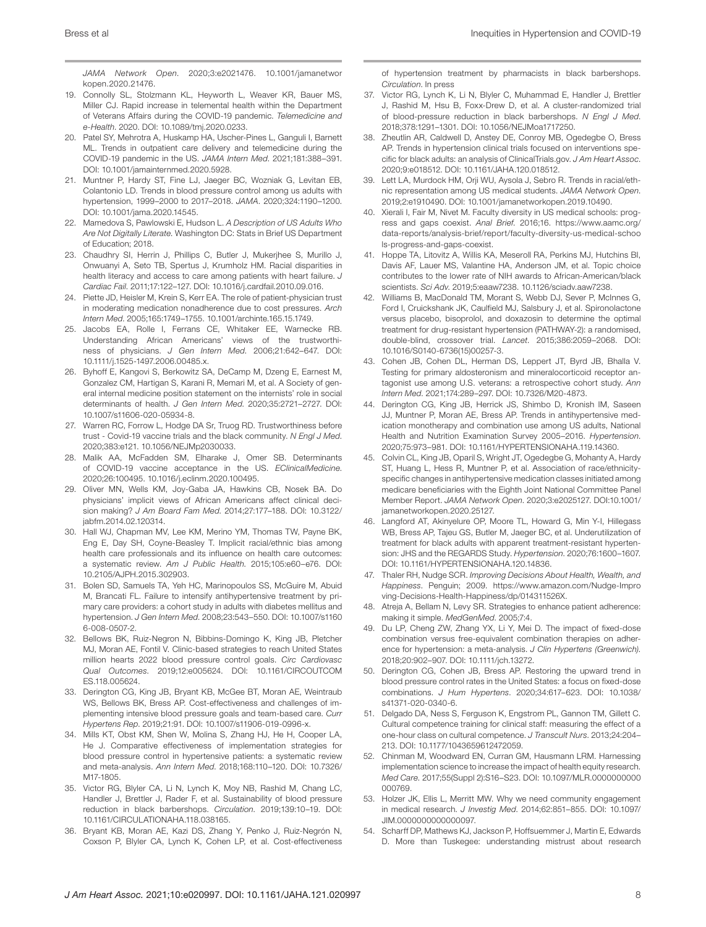*JAMA Network Open*. 2020;3:e2021476. [10.1001/jamanetwor](https://doi.org/10.1001/jamanetworkopen.2020.21476) [kopen.2020.21476](https://doi.org/10.1001/jamanetworkopen.2020.21476).

- 19. Connolly SL, Stolzmann KL, Heyworth L, Weaver KR, Bauer MS, Miller CJ. Rapid increase in telemental health within the Department of Veterans Affairs during the COVID-19 pandemic. *Telemedicine and e-Health*. 2020. DOI: [10.1089/tmj.2020.0233](https://doi.org/10.1089/tmj.2020.0233).
- 20. Patel SY, Mehrotra A, Huskamp HA, Uscher-Pines L, Ganguli I, Barnett ML. Trends in outpatient care delivery and telemedicine during the COVID-19 pandemic in the US. *JAMA Intern Med*. 2021;181:388–391. DOI: [10.1001/jamainternmed.2020.5928.](https://doi.org/10.1001/jamainternmed.2020.5928)
- 21. Muntner P, Hardy ST, Fine LJ, Jaeger BC, Wozniak G, Levitan EB, Colantonio LD. Trends in blood pressure control among us adults with hypertension, 1999–2000 to 2017–2018. *JAMA*. 2020;324:1190–1200. DOI: [10.1001/jama.2020.14545.](https://doi.org/10.1001/jama.2020.14545)
- 22. Mamedova S, Pawlowski E, Hudson L. *A Description of US Adults Who Are Not Digitally Literate*. Washington DC: Stats in Brief US Department of Education; 2018.
- 23. Chaudhry SI, Herrin J, Phillips C, Butler J, Mukerjhee S, Murillo J, Onwuanyi A, Seto TB, Spertus J, Krumholz HM. Racial disparities in health literacy and access to care among patients with heart failure. *J Cardiac Fail*. 2011;17:122–127. DOI: [10.1016/j.cardfail.2010.09.016](https://doi.org/10.1016/j.cardfail.2010.09.016).
- 24. Piette JD, Heisler M, Krein S, Kerr EA. The role of patient-physician trust in moderating medication nonadherence due to cost pressures. *Arch Intern Med*. 2005;165:1749–1755. [10.1001/archinte.165.15.1749.](https://doi.org/10.1001/archinte.165.15.1749)
- 25. Jacobs EA, Rolle I, Ferrans CE, Whitaker EE, Warnecke RB. Understanding African Americans' views of the trustworthiness of physicians. *J Gen Intern Med*. 2006;21:642–647. DOI: [10.1111/j.1525-1497.2006.00485.x.](https://doi.org/10.1111/j.1525-1497.2006.00485.x)
- 26. Byhoff E, Kangovi S, Berkowitz SA, DeCamp M, Dzeng E, Earnest M, Gonzalez CM, Hartigan S, Karani R, Memari M, et al. A Society of general internal medicine position statement on the internists' role in social determinants of health. *J Gen Intern Med*. 2020;35:2721–2727. DOI: [10.1007/s11606-020-05934-8](https://doi.org/10.1007/s11606-020-05934-8).
- 27. Warren RC, Forrow L, Hodge DA Sr, Truog RD. Trustworthiness before trust - Covid-19 vaccine trials and the black community. *N Engl J Med*. 2020;383:e121. [10.1056/NEJMp2030033](https://doi.org/10.1056/NEJMp2030033).
- 28. Malik AA, McFadden SM, Elharake J, Omer SB. Determinants of COVID-19 vaccine acceptance in the US. *EClinicalMedicine*. 2020;26:100495. [10.1016/j.eclinm.2020.100495.](https://doi.org/10.1016/j.eclinm.2020.100495)
- 29. Oliver MN, Wells KM, Joy-Gaba JA, Hawkins CB, Nosek BA. Do physicians' implicit views of African Americans affect clinical decision making? *J Am Board Fam Med*. 2014;27:177–188. DOI: [10.3122/](https://doi.org/10.3122/jabfm.2014.02.120314) [jabfm.2014.02.120314.](https://doi.org/10.3122/jabfm.2014.02.120314)
- 30. Hall WJ, Chapman MV, Lee KM, Merino YM, Thomas TW, Payne BK, Eng E, Day SH, Coyne-Beasley T. Implicit racial/ethnic bias among health care professionals and its influence on health care outcomes: a systematic review. *Am J Public Health*. 2015;105:e60–e76. DOI: [10.2105/AJPH.2015.302903.](https://doi.org/10.2105/AJPH.2015.302903)
- 31. Bolen SD, Samuels TA, Yeh HC, Marinopoulos SS, McGuire M, Abuid M, Brancati FL. Failure to intensify antihypertensive treatment by primary care providers: a cohort study in adults with diabetes mellitus and hypertension. *J Gen Intern Med*. 2008;23:543–550. DOI: [10.1007/s1160](https://doi.org/10.1007/s11606-008-0507-2) [6-008-0507-2](https://doi.org/10.1007/s11606-008-0507-2).
- 32. Bellows BK, Ruiz-Negron N, Bibbins-Domingo K, King JB, Pletcher MJ, Moran AE, Fontil V. Clinic-based strategies to reach United States million hearts 2022 blood pressure control goals. *Circ Cardiovasc Qual Outcomes*. 2019;12:e005624. DOI: [10.1161/CIRCOUTCOM](https://doi.org/10.1161/CIRCOUTCOMES.118.005624) [ES.118.005624](https://doi.org/10.1161/CIRCOUTCOMES.118.005624).
- 33. Derington CG, King JB, Bryant KB, McGee BT, Moran AE, Weintraub WS, Bellows BK, Bress AP. Cost-effectiveness and challenges of implementing intensive blood pressure goals and team-based care. *Curr Hypertens Rep*. 2019;21:91. DOI: [10.1007/s11906-019-0996-x](https://doi.org/10.1007/s11906-019-0996-x).
- 34. Mills KT, Obst KM, Shen W, Molina S, Zhang HJ, He H, Cooper LA, He J. Comparative effectiveness of implementation strategies for blood pressure control in hypertensive patients: a systematic review and meta-analysis. *Ann Intern Med*. 2018;168:110–120. DOI: [10.7326/](https://doi.org/10.7326/M17-1805) [M17-1805](https://doi.org/10.7326/M17-1805).
- 35. Victor RG, Blyler CA, Li N, Lynch K, Moy NB, Rashid M, Chang LC, Handler J, Brettler J, Rader F, et al. Sustainability of blood pressure reduction in black barbershops. *Circulation*. 2019;139:10–19. DOI: [10.1161/CIRCULATIONAHA.118.038165.](https://doi.org/10.1161/CIRCULATIONAHA.118.038165)
- 36. Bryant KB, Moran AE, Kazi DS, Zhang Y, Penko J, Ruiz-Negrón N, Coxson P, Blyler CA, Lynch K, Cohen LP, et al. Cost-effectiveness

of hypertension treatment by pharmacists in black barbershops. *Circulation*. In press

- 37. Victor RG, Lynch K, Li N, Blyler C, Muhammad E, Handler J, Brettler J, Rashid M, Hsu B, Foxx-Drew D, et al. A cluster-randomized trial of blood-pressure reduction in black barbershops. *N Engl J Med*. 2018;378:1291–1301. DOI: [10.1056/NEJMoa1717250.](https://doi.org/10.1056/NEJMoa1717250)
- 38. Zheutlin AR, Caldwell D, Anstey DE, Conroy MB, Ogedegbe O, Bress AP. Trends in hypertension clinical trials focused on interventions specific for black adults: an analysis of ClinicalTrials.gov. *J Am Heart Assoc*. 2020;9:e018512. DOI: [10.1161/JAHA.120.018512.](https://doi.org/10.1161/JAHA.120.018512)
- 39. Lett LA, Murdock HM, Orji WU, Aysola J, Sebro R. Trends in racial/ethnic representation among US medical students. *JAMA Network Open*. 2019;2:e1910490. DOI: [10.1001/jamanetworkopen.2019.10490.](https://doi.org/10.1001/jamanetworkopen.2019.10490)
- 40. Xierali I, Fair M, Nivet M. Faculty diversity in US medical schools: progress and gaps coexist. *Anal Brief*. 2016;16. [https://www.aamc.org/](https://www.aamc.org/data-reports/analysis-brief/report/faculty-diversity-us-medical-schools-progress-and-gaps-coexist) [data-reports/analysis-brief/report/faculty-diversity-us-medical-schoo](https://www.aamc.org/data-reports/analysis-brief/report/faculty-diversity-us-medical-schools-progress-and-gaps-coexist) [ls-progress-and-gaps-coexist](https://www.aamc.org/data-reports/analysis-brief/report/faculty-diversity-us-medical-schools-progress-and-gaps-coexist).
- 41. Hoppe TA, Litovitz A, Willis KA, Meseroll RA, Perkins MJ, Hutchins BI, Davis AF, Lauer MS, Valantine HA, Anderson JM, et al. Topic choice contributes to the lower rate of NIH awards to African-American/black scientists. *Sci Adv*. 2019;5:eaaw7238. [10.1126/sciadv.aaw7238.](https://doi.org/10.1126/sciadv.aaw7238)
- 42. Williams B, MacDonald TM, Morant S, Webb DJ, Sever P, McInnes G, Ford I, Cruickshank JK, Caulfield MJ, Salsbury J, et al. Spironolactone versus placebo, bisoprolol, and doxazosin to determine the optimal treatment for drug-resistant hypertension (PATHWAY-2): a randomised, double-blind, crossover trial. *Lancet*. 2015;386:2059–2068. DOI: [10.1016/S0140-6736\(15\)00257-3](https://doi.org/10.1016/S0140-6736(15)00257-3).
- 43. Cohen JB, Cohen DL, Herman DS, Leppert JT, Byrd JB, Bhalla V. Testing for primary aldosteronism and mineralocorticoid receptor antagonist use among U.S. veterans: a retrospective cohort study. *Ann Intern Med*. 2021;174:289–297. DOI: [10.7326/M20-4873.](https://doi.org/10.7326/M20-4873)
- 44. Derington CG, King JB, Herrick JS, Shimbo D, Kronish IM, Saseen JJ, Muntner P, Moran AE, Bress AP. Trends in antihypertensive medication monotherapy and combination use among US adults, National Health and Nutrition Examination Survey 2005–2016. *Hypertension*. 2020;75:973–981. DOI: [10.1161/HYPERTENSIONAHA.119.14360](https://doi.org/10.1161/HYPERTENSIONAHA.119.14360).
- 45. Colvin CL, King JB, Oparil S, Wright JT, Ogedegbe G, Mohanty A, Hardy ST, Huang L, Hess R, Muntner P, et al. Association of race/ethnicityspecific changes in antihypertensive medication classes initiated among medicare beneficiaries with the Eighth Joint National Committee Panel Member Report. *JAMA Network Open*. 2020;3:e2025127. DOI[:10.1001/](https://doi.org/10.1001/jamanetworkopen.2020.25127) [jamanetworkopen.2020.25127](https://doi.org/10.1001/jamanetworkopen.2020.25127).
- 46. Langford AT, Akinyelure OP, Moore TL, Howard G, Min Y-I, Hillegass WB, Bress AP, Tajeu GS, Butler M, Jaeger BC, et al. Underutilization of treatment for black adults with apparent treatment-resistant hypertension: JHS and the REGARDS Study. *Hypertension*. 2020;76:1600–1607. DOI: [10.1161/HYPERTENSIONAHA.120.14836.](https://doi.org/10.1161/HYPERTENSIONAHA.120.14836)
- 47. Thaler RH, Nudge SCR. *Improving Decisions About Health, Wealth, and Happiness*. Penguin; 2009. [https://www.amazon.com/Nudge-Impro](https://www.amazon.com/Nudge-Improving-Decisions-Health-Happiness/dp/014311526X) [ving-Decisions-Health-Happiness/dp/014311526X.](https://www.amazon.com/Nudge-Improving-Decisions-Health-Happiness/dp/014311526X)
- 48. Atreja A, Bellam N, Levy SR. Strategies to enhance patient adherence: making it simple. *MedGenMed*. 2005;7:4.
- 49. Du LP, Cheng ZW, Zhang YX, Li Y, Mei D. The impact of fixed-dose combination versus free-equivalent combination therapies on adherence for hypertension: a meta-analysis. *J Clin Hypertens (Greenwich)*. 2018;20:902–907. DOI: [10.1111/jch.13272.](https://doi.org/10.1111/jch.13272)
- 50. Derington CG, Cohen JB, Bress AP. Restoring the upward trend in blood pressure control rates in the United States: a focus on fixed-dose combinations. *J Hum Hypertens*. 2020;34:617–623. DOI: [10.1038/](https://doi.org/10.1038/s41371-020-0340-6) [s41371-020-0340-6](https://doi.org/10.1038/s41371-020-0340-6).
- 51. Delgado DA, Ness S, Ferguson K, Engstrom PL, Gannon TM, Gillett C. Cultural competence training for clinical staff: measuring the effect of a one-hour class on cultural competence. *J Transcult Nurs*. 2013;24:204– 213. DOI: [10.1177/1043659612472059.](https://doi.org/10.1177/1043659612472059)
- 52. Chinman M, Woodward EN, Curran GM, Hausmann LRM. Harnessing implementation science to increase the impact of health equity research. *Med Care*. 2017;55(Suppl 2):S16–S23. DOI: [10.1097/MLR.0000000000](https://doi.org/10.1097/MLR.0000000000000769) [000769.](https://doi.org/10.1097/MLR.0000000000000769)
- 53. Holzer JK, Ellis L, Merritt MW. Why we need community engagement in medical research. *J Investig Med*. 2014;62:851–855. DOI: [10.1097/](https://doi.org/10.1097/JIM.0000000000000097) [JIM.0000000000000097.](https://doi.org/10.1097/JIM.0000000000000097)
- 54. Scharff DP, Mathews KJ, Jackson P, Hoffsuemmer J, Martin E, Edwards D. More than Tuskegee: understanding mistrust about research